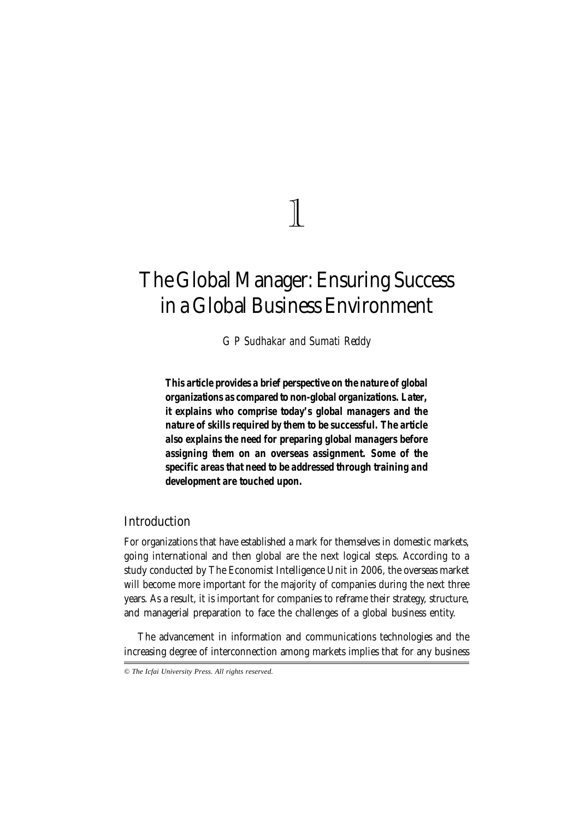# 1

# **The Global Manager: Ensuring Success in a Global Business Environment**

*G P Sudhakar and Sumati Reddy*

*This article provides a brief perspective on the nature of global organizations as compared to non-global organizations. Later, it explains who comprise today's global managers and the nature of skills required by them to be successful. The article also explains the need for preparing global managers before assigning them on an overseas assignment. Some of the specific areas that need to be addressed through training and development are touched upon.*

# **Introduction**

For organizations that have established a mark for themselves in domestic markets, going international and then global are the next logical steps. According to a study conducted by The Economist Intelligence Unit in 2006, the overseas market will become more important for the majority of companies during the next three years. As a result, it is important for companies to reframe their strategy, structure, and managerial preparation to face the challenges of a global business entity.

The advancement in information and communications technologies and the increasing degree of interconnection among markets implies that for any business

*© The Icfai University Press. All rights reserved.*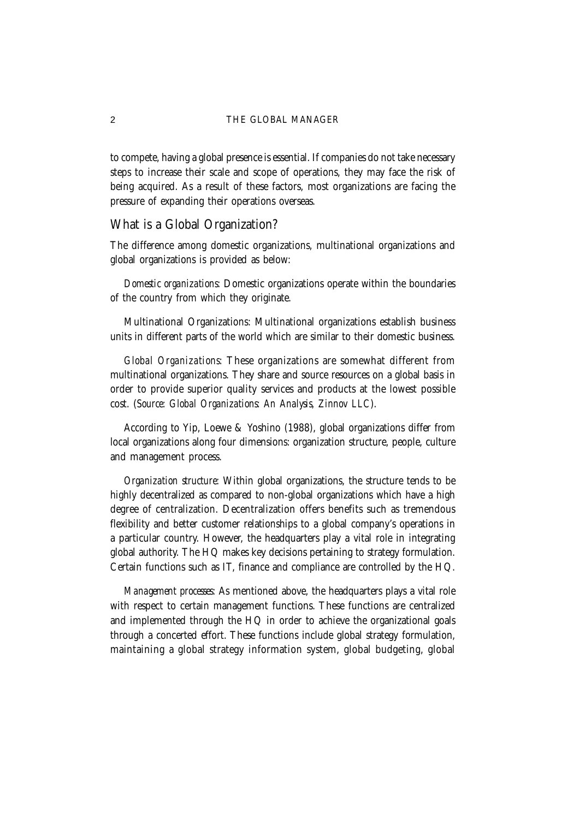to compete, having a global presence is essential. If companies do not take necessary steps to increase their scale and scope of operations, they may face the risk of being acquired. As a result of these factors, most organizations are facing the pressure of expanding their operations overseas.

## **What is a Global Organization?**

The difference among domestic organizations, multinational organizations and global organizations is provided as below:

*Domestic organizations*: Domestic organizations operate within the boundaries of the country from which they originate.

Multinational Organizations: Multinational organizations establish business units in different parts of the world which are similar to their domestic business.

*Global Organizations*: These organizations are somewhat different from multinational organizations. They share and source resources on a global basis in order to provide superior quality services and products at the lowest possible cost. (*Source: Global Organizations: An Analysis, Zinnov LLC*).

According to Yip, Loewe & Yoshino (1988), global organizations differ from local organizations along four dimensions: organization structure, people, culture and management process.

*Organization structure*: Within global organizations, the structure tends to be highly decentralized as compared to non-global organizations which have a high degree of centralization. Decentralization offers benefits such as tremendous flexibility and better customer relationships to a global company's operations in a particular country. However, the headquarters play a vital role in integrating global authority. The HQ makes key decisions pertaining to strategy formulation. Certain functions such as IT, finance and compliance are controlled by the HQ.

*Management processes*: As mentioned above, the headquarters plays a vital role with respect to certain management functions. These functions are centralized and implemented through the HQ in order to achieve the organizational goals through a concerted effort. These functions include global strategy formulation, maintaining a global strategy information system, global budgeting, global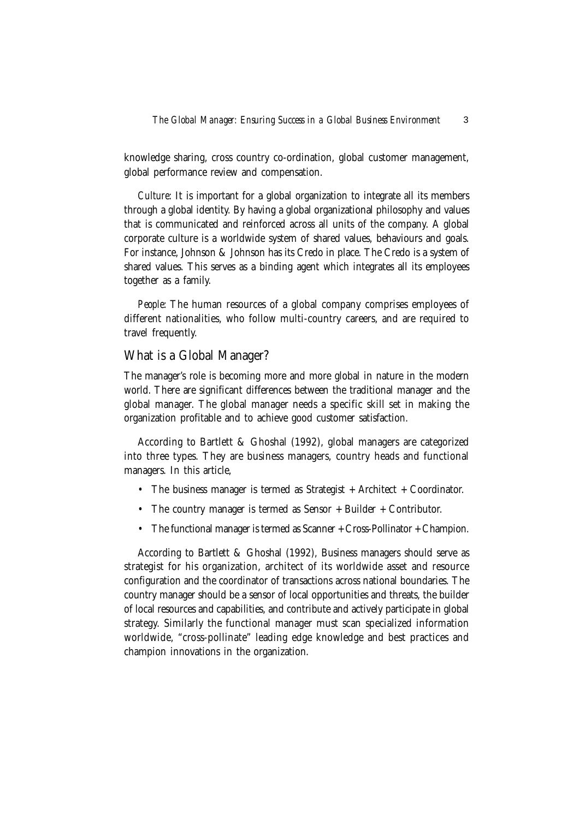knowledge sharing, cross country co-ordination, global customer management, global performance review and compensation.

*Culture*: It is important for a global organization to integrate all its members through a global identity. By having a global organizational philosophy and values that is communicated and reinforced across all units of the company. A global corporate culture is a worldwide system of shared values, behaviours and goals. For instance, Johnson & Johnson has its Credo in place. The Credo is a system of shared values. This serves as a binding agent which integrates all its employees together as a family.

*People*: The human resources of a global company comprises employees of different nationalities, who follow multi-country careers, and are required to travel frequently.

### **What is a Global Manager?**

The manager's role is becoming more and more global in nature in the modern world. There are significant differences between the traditional manager and the global manager. The global manager needs a specific skill set in making the organization profitable and to achieve good customer satisfaction.

According to Bartlett & Ghoshal (1992), global managers are categorized into three types. They are business managers, country heads and functional managers. In this article,

- The business manager is termed as Strategist + Architect + Coordinator.
- The country manager is termed as Sensor  $+$  Builder  $+$  Contributor.
- The functional manager is termed as Scanner + Cross-Pollinator + Champion.

According to Bartlett & Ghoshal (1992), Business managers should serve as strategist for his organization, architect of its worldwide asset and resource configuration and the coordinator of transactions across national boundaries. The country manager should be a sensor of local opportunities and threats, the builder of local resources and capabilities, and contribute and actively participate in global strategy. Similarly the functional manager must scan specialized information worldwide, "cross-pollinate" leading edge knowledge and best practices and champion innovations in the organization.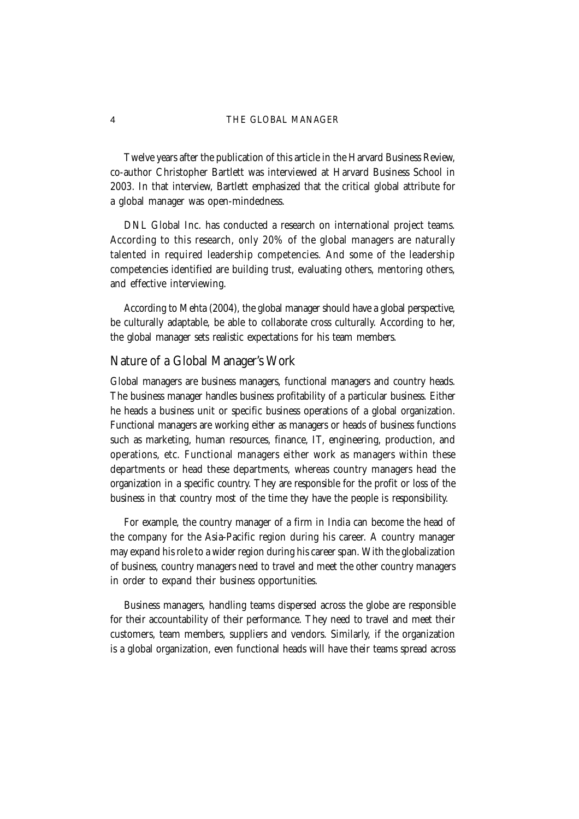Twelve years after the publication of this article in the Harvard Business Review, co-author Christopher Bartlett was interviewed at Harvard Business School in 2003. In that interview, Bartlett emphasized that the critical global attribute for a global manager was open-mindedness.

DNL Global Inc. has conducted a research on international project teams. According to this research, only 20% of the global managers are naturally talented in required leadership competencies. And some of the leadership competencies identified are building trust, evaluating others, mentoring others, and effective interviewing.

According to Mehta (2004), the global manager should have a global perspective, be culturally adaptable, be able to collaborate cross culturally. According to her, the global manager sets realistic expectations for his team members.

#### **Nature of a Global Manager's Work**

Global managers are business managers, functional managers and country heads. The business manager handles business profitability of a particular business. Either he heads a business unit or specific business operations of a global organization. Functional managers are working either as managers or heads of business functions such as marketing, human resources, finance, IT, engineering, production, and operations, etc. Functional managers either work as managers within these departments or head these departments, whereas country managers head the organization in a specific country. They are responsible for the profit or loss of the business in that country most of the time they have the people is responsibility.

For example, the country manager of a firm in India can become the head of the company for the Asia-Pacific region during his career. A country manager may expand his role to a wider region during his career span. With the globalization of business, country managers need to travel and meet the other country managers in order to expand their business opportunities.

Business managers, handling teams dispersed across the globe are responsible for their accountability of their performance. They need to travel and meet their customers, team members, suppliers and vendors. Similarly, if the organization is a global organization, even functional heads will have their teams spread across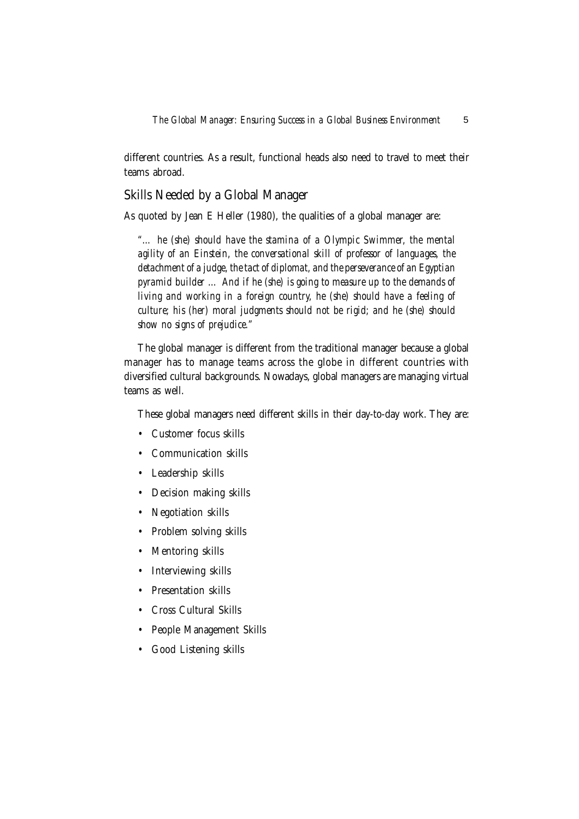different countries. As a result, functional heads also need to travel to meet their teams abroad.

# **Skills Needed by a Global Manager**

As quoted by Jean E Heller (1980), the qualities of a global manager are:

*"… he (she) should have the stamina of a Olympic Swimmer, the mental agility of an Einstein, the conversational skill of professor of languages, the detachment of a judge, the tact of diplomat, and the perseverance of an Egyptian pyramid builder … And if he (she) is going to measure up to the demands of living and working in a foreign country, he (she) should have a feeling of culture; his (her) moral judgments should not be rigid; and he (she) should show no signs of prejudice."*

The global manager is different from the traditional manager because a global manager has to manage teams across the globe in different countries with diversified cultural backgrounds. Nowadays, global managers are managing virtual teams as well.

These global managers need different skills in their day-to-day work. They are:

- Customer focus skills
- Communication skills
- Leadership skills
- Decision making skills
- Negotiation skills
- Problem solving skills
- Mentoring skills
- Interviewing skills
- Presentation skills
- Cross Cultural Skills
- People Management Skills
- Good Listening skills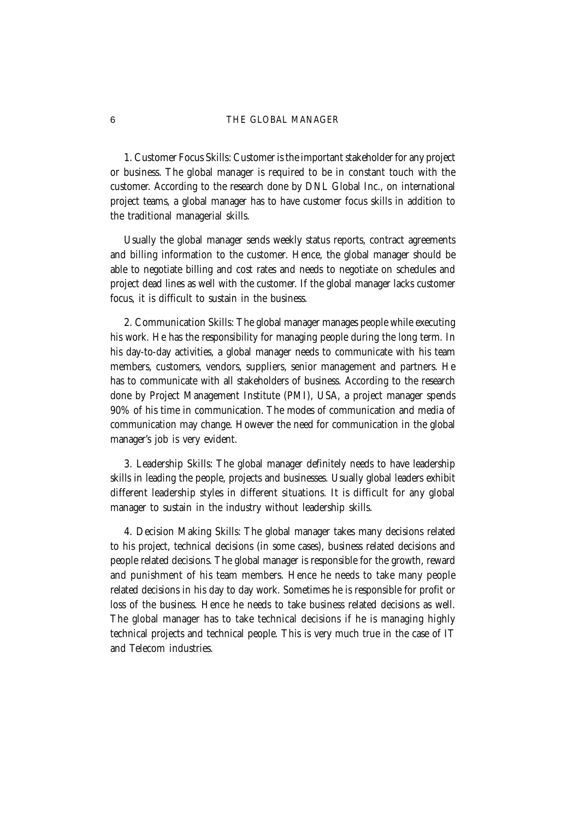**1. Customer Focus Skills:** Customer is the important stakeholder for any project or business. The global manager is required to be in constant touch with the customer. According to the research done by DNL Global Inc., on international project teams, a global manager has to have customer focus skills in addition to the traditional managerial skills.

Usually the global manager sends weekly status reports, contract agreements and billing information to the customer. Hence, the global manager should be able to negotiate billing and cost rates and needs to negotiate on schedules and project dead lines as well with the customer. If the global manager lacks customer focus, it is difficult to sustain in the business.

**2. Communication Skills:** The global manager manages people while executing his work. He has the responsibility for managing people during the long term. In his day-to-day activities, a global manager needs to communicate with his team members, customers, vendors, suppliers, senior management and partners. He has to communicate with all stakeholders of business. According to the research done by Project Management Institute (PMI), USA, a project manager spends 90% of his time in communication. The modes of communication and media of communication may change. However the need for communication in the global manager's job is very evident.

**3. Leadership Skills:** The global manager definitely needs to have leadership skills in leading the people, projects and businesses. Usually global leaders exhibit different leadership styles in different situations. It is difficult for any global manager to sustain in the industry without leadership skills.

**4. Decision Making Skills:** The global manager takes many decisions related to his project, technical decisions (in some cases), business related decisions and people related decisions. The global manager is responsible for the growth, reward and punishment of his team members. Hence he needs to take many people related decisions in his day to day work. Sometimes he is responsible for profit or loss of the business. Hence he needs to take business related decisions as well. The global manager has to take technical decisions if he is managing highly technical projects and technical people. This is very much true in the case of IT and Telecom industries.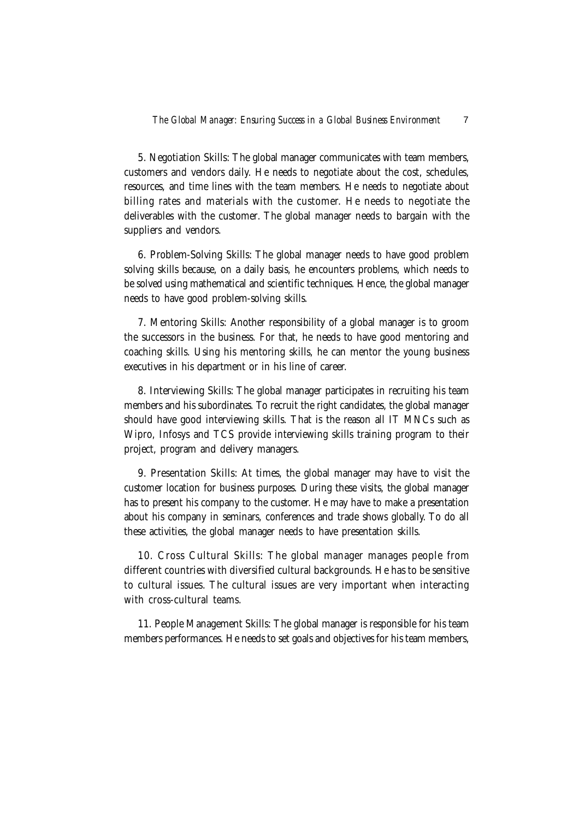**5. Negotiation Skills:** The global manager communicates with team members, customers and vendors daily. He needs to negotiate about the cost, schedules, resources, and time lines with the team members. He needs to negotiate about billing rates and materials with the customer. He needs to negotiate the deliverables with the customer. The global manager needs to bargain with the suppliers and vendors.

**6. Problem-Solving Skills:** The global manager needs to have good problem solving skills because, on a daily basis, he encounters problems, which needs to be solved using mathematical and scientific techniques. Hence, the global manager needs to have good problem-solving skills.

**7. Mentoring Skills:** Another responsibility of a global manager is to groom the successors in the business. For that, he needs to have good mentoring and coaching skills. Using his mentoring skills, he can mentor the young business executives in his department or in his line of career.

**8. Interviewing Skills:** The global manager participates in recruiting his team members and his subordinates. To recruit the right candidates, the global manager should have good interviewing skills. That is the reason all IT MNCs such as Wipro, Infosys and TCS provide interviewing skills training program to their project, program and delivery managers.

**9. Presentation Skills:** At times, the global manager may have to visit the customer location for business purposes. During these visits, the global manager has to present his company to the customer. He may have to make a presentation about his company in seminars, conferences and trade shows globally. To do all these activities, the global manager needs to have presentation skills.

**10. Cross Cultural Skills:** The global manager manages people from different countries with diversified cultural backgrounds. He has to be sensitive to cultural issues. The cultural issues are very important when interacting with cross-cultural teams.

**11. People Management Skills:** The global manager is responsible for his team members performances. He needs to set goals and objectives for his team members,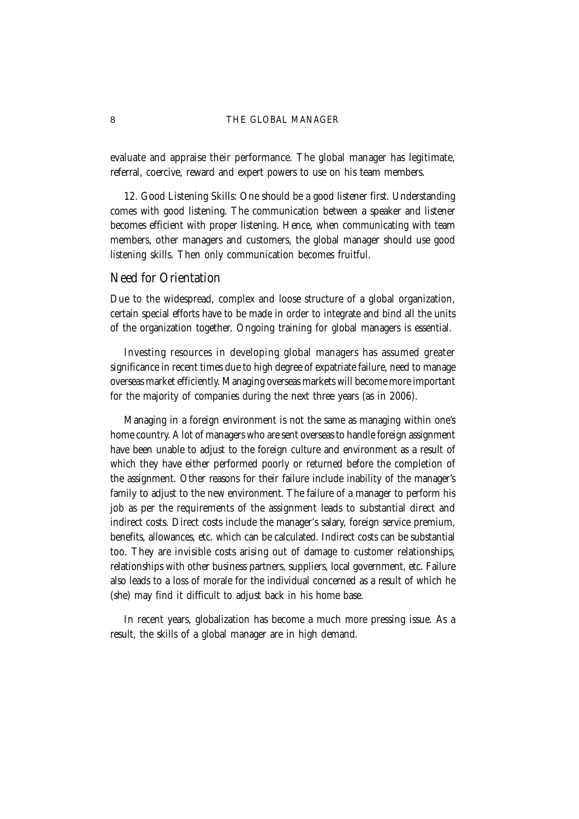evaluate and appraise their performance. The global manager has legitimate, referral, coercive, reward and expert powers to use on his team members.

**12. Good Listening Skills:** One should be a good listener first. Understanding comes with good listening. The communication between a speaker and listener becomes efficient with proper listening. Hence, when communicating with team members, other managers and customers, the global manager should use good listening skills. Then only communication becomes fruitful.

#### **Need for Orientation**

Due to the widespread, complex and loose structure of a global organization, certain special efforts have to be made in order to integrate and bind all the units of the organization together. Ongoing training for global managers is essential.

Investing resources in developing global managers has assumed greater significance in recent times due to high degree of expatriate failure, need to manage overseas market efficiently. Managing overseas markets will become more important for the majority of companies during the next three years (as in 2006).

Managing in a foreign environment is not the same as managing within one's home country. A lot of managers who are sent overseas to handle foreign assignment have been unable to adjust to the foreign culture and environment as a result of which they have either performed poorly or returned before the completion of the assignment. Other reasons for their failure include inability of the manager's family to adjust to the new environment. The failure of a manager to perform his job as per the requirements of the assignment leads to substantial direct and indirect costs. Direct costs include the manager's salary, foreign service premium, benefits, allowances, etc. which can be calculated. Indirect costs can be substantial too. They are invisible costs arising out of damage to customer relationships, relationships with other business partners, suppliers, local government, etc. Failure also leads to a loss of morale for the individual concerned as a result of which he (she) may find it difficult to adjust back in his home base.

In recent years, globalization has become a much more pressing issue. As a result, the skills of a global manager are in high demand.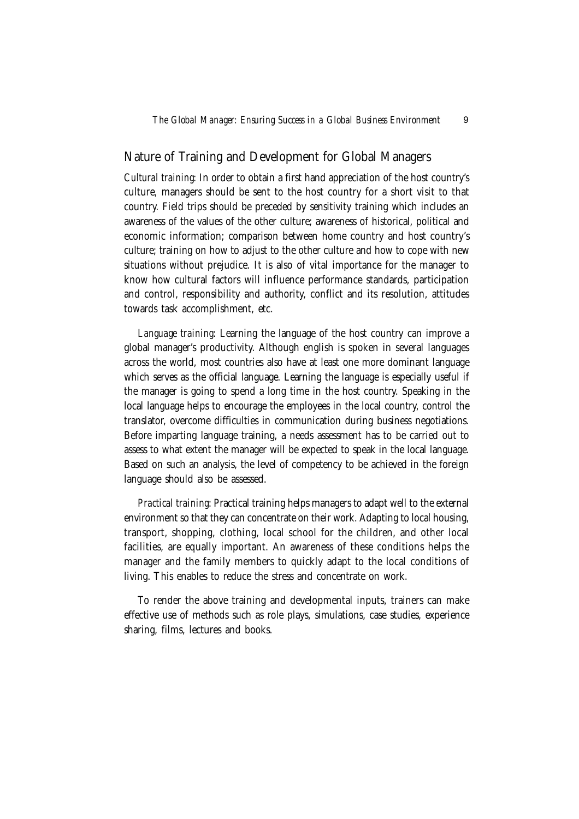#### **Nature of Training and Development for Global Managers**

*Cultural training*: In order to obtain a first hand appreciation of the host country's culture, managers should be sent to the host country for a short visit to that country. Field trips should be preceded by sensitivity training which includes an awareness of the values of the other culture; awareness of historical, political and economic information; comparison between home country and host country's culture; training on how to adjust to the other culture and how to cope with new situations without prejudice. It is also of vital importance for the manager to know how cultural factors will influence performance standards, participation and control, responsibility and authority, conflict and its resolution, attitudes towards task accomplishment, etc.

*Language training*: Learning the language of the host country can improve a global manager's productivity. Although english is spoken in several languages across the world, most countries also have at least one more dominant language which serves as the official language. Learning the language is especially useful if the manager is going to spend a long time in the host country. Speaking in the local language helps to encourage the employees in the local country, control the translator, overcome difficulties in communication during business negotiations. Before imparting language training, a needs assessment has to be carried out to assess to what extent the manager will be expected to speak in the local language. Based on such an analysis, the level of competency to be achieved in the foreign language should also be assessed.

*Practical training*: Practical training helps managers to adapt well to the external environment so that they can concentrate on their work. Adapting to local housing, transport, shopping, clothing, local school for the children, and other local facilities, are equally important. An awareness of these conditions helps the manager and the family members to quickly adapt to the local conditions of living. This enables to reduce the stress and concentrate on work.

To render the above training and developmental inputs, trainers can make effective use of methods such as role plays, simulations, case studies, experience sharing, films, lectures and books.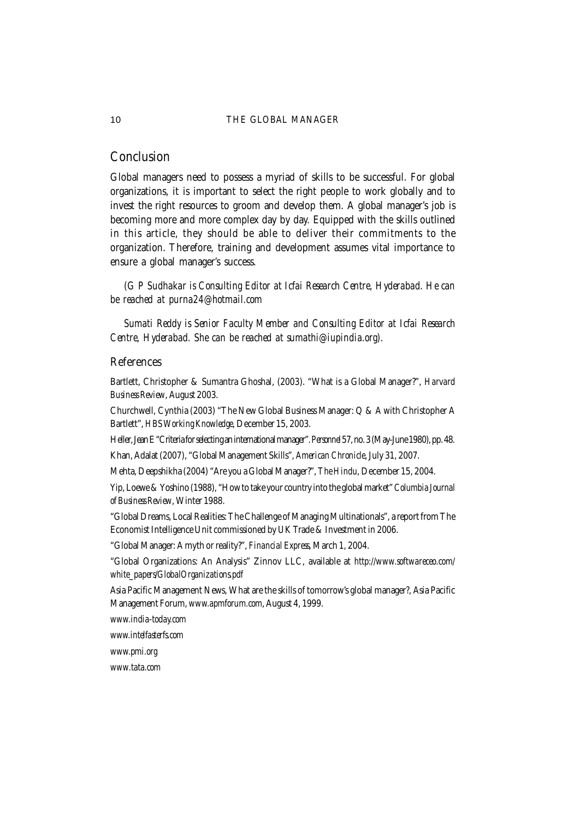# **Conclusion**

Global managers need to possess a myriad of skills to be successful. For global organizations, it is important to select the right people to work globally and to invest the right resources to groom and develop them. A global manager's job is becoming more and more complex day by day. Equipped with the skills outlined in this article, they should be able to deliver their commitments to the organization. Therefore, training and development assumes vital importance to ensure a global manager's success.

*(G P Sudhakar is Consulting Editor at Icfai Research Centre, Hyderabad. He can be reached at purna24@hotmail.com*

*Sumati Reddy is Senior Faculty Member and Consulting Editor at Icfai Research Centre, Hyderabad. She can be reached at sumathi@iupindia.org).*

# **References**

Bartlett, Christopher & Sumantra Ghoshal, (2003). "What is a Global Manager?", *Harvard Business Review*, August 2003.

Churchwell, Cynthia (2003) "The New Global Business Manager: Q & A with Christopher A Bartlett", *HBS Working Knowledge*, December 15, 2003.

Heller, Jean E "Criteria for selecting an international manager". *Personnel* 57, no. 3 (May-June 1980), pp. 48. Khan, Adalat (2007), "Global Management Skills", *American Chronicle*, July 31, 2007.

Mehta, Deepshikha (2004) "Are you a Global Manager?", *The Hindu*, December 15, 2004.

Yip, Loewe & Yoshino (1988), "How to take your country into the global market" *Columbia Journal of Business Review*, Winter 1988.

"Global Dreams, Local Realities: The Challenge of Managing Multinationals", a report from The Economist Intelligence Unit commissioned by UK Trade & Investment in 2006.

"Global Manager: A myth or reality?", *Financial Express*, March 1, 2004.

"Global Organizations: An Analysis" Zinnov LLC, available at *http://www.softwareceo.com/ white\_papers/GlobalOrganizations.pdf*

Asia Pacific Management News, What are the skills of tomorrow's global manager?, Asia Pacific Management Forum, *www.apmforum.com*, August 4, 1999.

*www.india-today.com*

*www.intelfasterfs.com*

*www.pmi.org*

*www.tata.com*